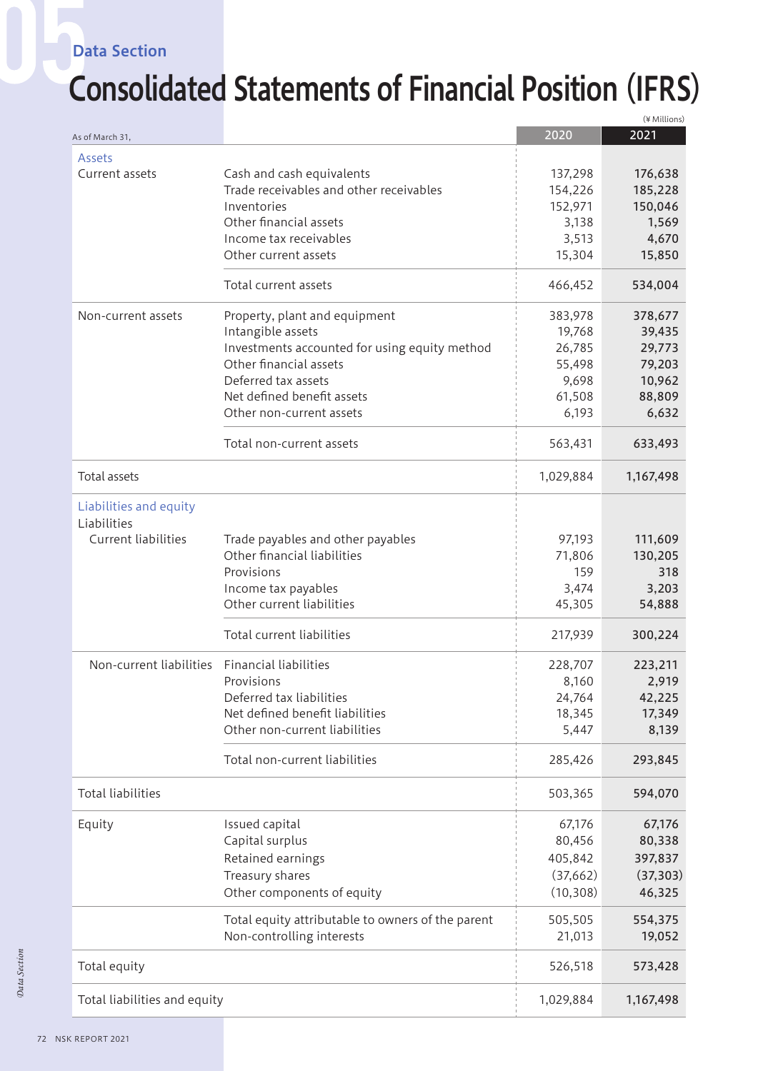#### Data Section

### Consolidated Statements of Financial Position (IFRS)

|                              |                                                   |           | (¥ Millions) |
|------------------------------|---------------------------------------------------|-----------|--------------|
| As of March 31,              |                                                   | 2020      | 2021         |
| Assets                       |                                                   |           |              |
| Current assets               | Cash and cash equivalents                         | 137,298   | 176,638      |
|                              | Trade receivables and other receivables           | 154,226   | 185,228      |
|                              | Inventories                                       | 152,971   | 150,046      |
|                              | Other financial assets                            | 3,138     | 1,569        |
|                              | Income tax receivables                            |           |              |
|                              |                                                   | 3,513     | 4,670        |
|                              | Other current assets                              | 15,304    | 15,850       |
|                              | Total current assets                              | 466,452   | 534,004      |
| Non-current assets           | Property, plant and equipment                     | 383,978   | 378,677      |
|                              | Intangible assets                                 | 19,768    | 39,435       |
|                              | Investments accounted for using equity method     | 26,785    | 29,773       |
|                              | Other financial assets                            | 55,498    | 79,203       |
|                              | Deferred tax assets                               | 9,698     | 10,962       |
|                              | Net defined benefit assets                        | 61,508    | 88,809       |
|                              | Other non-current assets                          | 6,193     | 6,632        |
|                              | Total non-current assets                          | 563,431   | 633,493      |
| Total assets                 |                                                   | 1,029,884 | 1,167,498    |
| Liabilities and equity       |                                                   |           |              |
| Liabilities                  |                                                   |           |              |
| Current liabilities          | Trade payables and other payables                 | 97,193    | 111,609      |
|                              | Other financial liabilities                       | 71,806    | 130,205      |
|                              | Provisions                                        |           |              |
|                              |                                                   | 159       | 318          |
|                              | Income tax payables                               | 3,474     | 3,203        |
|                              | Other current liabilities                         | 45,305    | 54,888       |
|                              | Total current liabilities                         | 217,939   | 300,224      |
| Non-current liabilities      | <b>Financial liabilities</b>                      | 228,707   | 223,211      |
|                              | Provisions                                        | 8,160     | 2,919        |
|                              | Deferred tax liabilities                          | 24,764    | 42,225       |
|                              | Net defined benefit liabilities                   | 18,345    | 17,349       |
|                              | Other non-current liabilities                     | 5,447     | 8,139        |
|                              | Total non-current liabilities                     | 285,426   | 293,845      |
| <b>Total liabilities</b>     |                                                   | 503,365   | 594,070      |
| Equity                       | Issued capital                                    | 67,176    | 67,176       |
|                              | Capital surplus                                   | 80,456    | 80,338       |
|                              | Retained earnings                                 | 405,842   | 397,837      |
|                              |                                                   |           |              |
|                              | Treasury shares                                   | (37,662)  | (37, 303)    |
|                              | Other components of equity                        | (10, 308) | 46,325       |
|                              | Total equity attributable to owners of the parent | 505,505   | 554,375      |
|                              | Non-controlling interests                         | 21,013    | 19,052       |
| Total equity                 |                                                   | 526,518   | 573,428      |
| Total liabilities and equity |                                                   | 1,029,884 | 1,167,498    |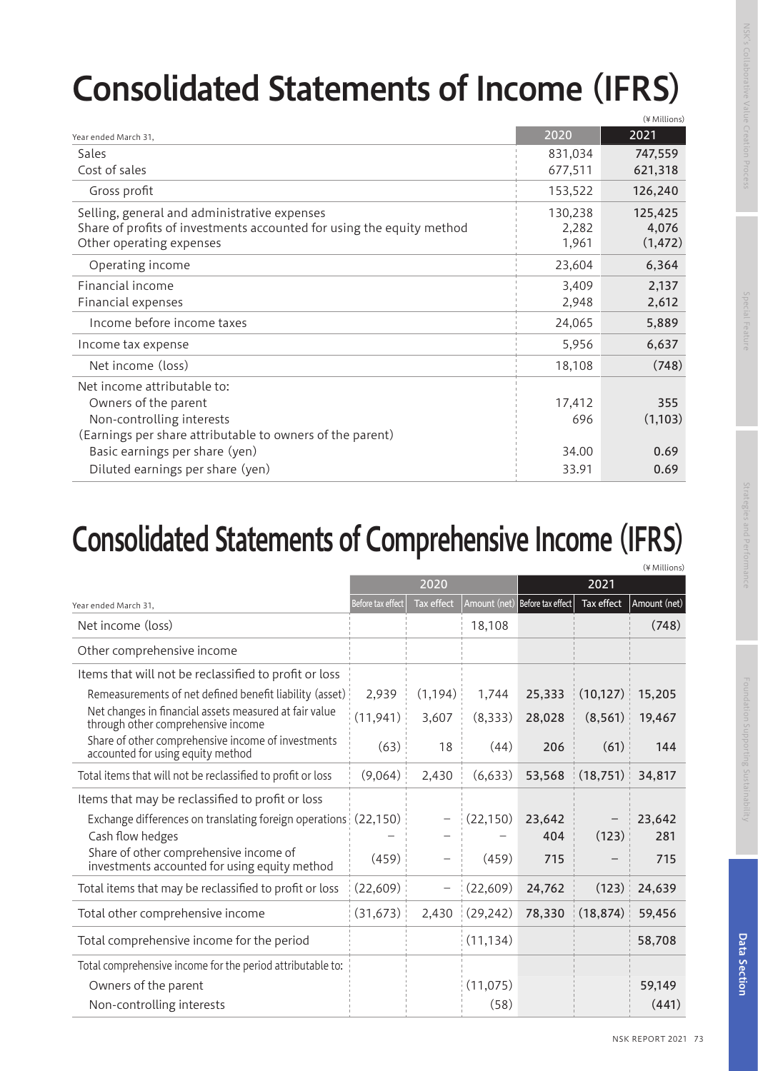# Consolidated Statements of Income (IFRS)

|                                                                                                                                                   |                           | (¥ Millions)                 |
|---------------------------------------------------------------------------------------------------------------------------------------------------|---------------------------|------------------------------|
| Year ended March 31,                                                                                                                              | 2020                      | 2021                         |
| Sales                                                                                                                                             | 831,034                   | 747,559                      |
| Cost of sales                                                                                                                                     | 677,511                   | 621,318                      |
| Gross profit                                                                                                                                      | 153,522                   | 126,240                      |
| Selling, general and administrative expenses<br>Share of profits of investments accounted for using the equity method<br>Other operating expenses | 130,238<br>2,282<br>1,961 | 125,425<br>4,076<br>(1, 472) |
| Operating income                                                                                                                                  | 23,604                    | 6,364                        |
| Financial income<br>Financial expenses                                                                                                            | 3,409<br>2,948            | 2,137<br>2,612               |
| Income before income taxes                                                                                                                        | 24,065                    | 5,889                        |
| Income tax expense                                                                                                                                | 5,956                     | 6,637                        |
| Net income (loss)                                                                                                                                 | 18,108                    | (748)                        |
| Net income attributable to:<br>Owners of the parent<br>Non-controlling interests<br>(Earnings per share attributable to owners of the parent)     | 17,412<br>696             | 355<br>(1,103)               |
| Basic earnings per share (yen)<br>Diluted earnings per share (yen)                                                                                | 34.00<br>33.91            | 0.69<br>0.69                 |

#### Consolidated Statements of Comprehensive Income (IFRS)

|                                                                                              |                   |                          |                   |                                |            | (¥ Millions)    |
|----------------------------------------------------------------------------------------------|-------------------|--------------------------|-------------------|--------------------------------|------------|-----------------|
|                                                                                              |                   | 2020                     |                   |                                | 2021       |                 |
| Year ended March 31,                                                                         | Before tax effect | <b>Tax effect</b>        |                   | Amount (net) Before tax effect | Tax effect | Amount (net)    |
| Net income (loss)                                                                            |                   |                          | 18,108            |                                |            | (748)           |
| Other comprehensive income                                                                   |                   |                          |                   |                                |            |                 |
| Items that will not be reclassified to profit or loss                                        |                   |                          |                   |                                |            |                 |
| Remeasurements of net defined benefit liability (asset)                                      | 2,939             | (1, 194)                 | 1,744             | 25,333                         | (10, 127)  | 15,205          |
| Net changes in financial assets measured at fair value<br>through other comprehensive income | (11, 941)         | 3,607                    | (8,333)           | 28,028                         | (8, 561)   | 19,467          |
| Share of other comprehensive income of investments<br>accounted for using equity method      | (63)              | 18                       | (44)              | 206                            | (61)       | 144             |
| Total items that will not be reclassified to profit or loss                                  | (9,064)           | 2,430                    | (6,633)           | 53,568                         | (18, 751)  | 34,817          |
| Items that may be reclassified to profit or loss                                             |                   |                          |                   |                                |            |                 |
| Exchange differences on translating foreign operations (22,150)<br>Cash flow hedges          |                   |                          | (22, 150)         | 23,642<br>404                  | (123)      | 23,642<br>281   |
| Share of other comprehensive income of<br>investments accounted for using equity method      | (459)             | $\overline{\phantom{0}}$ | (459)             | 715                            |            | 715             |
| Total items that may be reclassified to profit or loss                                       | (22, 609)         | $\overline{\phantom{0}}$ | (22,609)          | 24,762                         | (123)      | 24,639          |
| Total other comprehensive income                                                             | (31, 673)         | 2,430                    | (29, 242)         | 78,330                         | (18, 874)  | 59,456          |
| Total comprehensive income for the period                                                    |                   |                          | (11, 134)         |                                |            | 58,708          |
| Total comprehensive income for the period attributable to:                                   |                   |                          |                   |                                |            |                 |
| Owners of the parent<br>Non-controlling interests                                            |                   |                          | (11, 075)<br>(58) |                                |            | 59,149<br>(441) |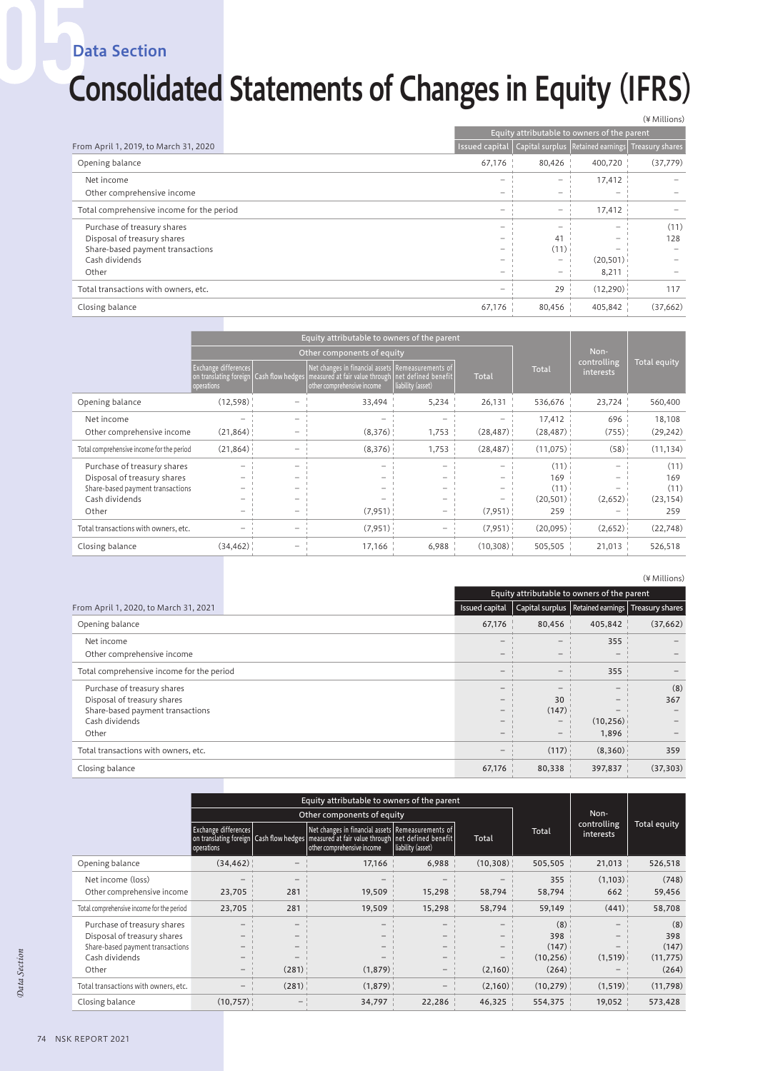Data Section

## Consolidated Statements of Changes in Equity (IFRS)

|                                           | (¥ Millions)                                |        |                                                                        |          |
|-------------------------------------------|---------------------------------------------|--------|------------------------------------------------------------------------|----------|
|                                           | Equity attributable to owners of the parent |        |                                                                        |          |
| From April 1, 2019, to March 31, 2020     |                                             |        | Issued capital   Capital surplus   Retained earnings   Treasury shares |          |
| Opening balance                           | 67,176                                      | 80,426 | 400,720                                                                | (37,779) |
| Net income                                |                                             | -      | 17,412                                                                 |          |
| Other comprehensive income                |                                             |        |                                                                        |          |
| Total comprehensive income for the period |                                             |        | 17,412                                                                 |          |
| Purchase of treasury shares               |                                             |        | -                                                                      | (11)     |
| Disposal of treasury shares               |                                             | 41     |                                                                        | 128      |
| Share-based payment transactions          |                                             | (11)   |                                                                        |          |
| Cash dividends                            |                                             |        | (20, 501)                                                              |          |
| Other                                     |                                             |        | 8,211                                                                  |          |
| Total transactions with owners, etc.      |                                             | 29     | (12,290)                                                               | 117      |
| Closing balance                           | 67,176                                      | 80,456 | 405,842                                                                | (37,662) |

|                                           | Equity attributable to owners of the parent |  |                                                                                                                                                                                       |                   |           |              |                                 |                     |
|-------------------------------------------|---------------------------------------------|--|---------------------------------------------------------------------------------------------------------------------------------------------------------------------------------------|-------------------|-----------|--------------|---------------------------------|---------------------|
|                                           | Other components of equity                  |  |                                                                                                                                                                                       |                   |           | Non-         |                                 |                     |
|                                           | Exchange differences<br>operations          |  | Net changes in financial assets   Remeasurements of<br>on translating foreign   Cash flow hedges   measured at fair value through   net defined benefit<br>other comprehensive income | liability (asset) | Total     | <b>Total</b> | controlling<br><i>interests</i> | <b>Total equity</b> |
| Opening balance                           | (12,598)                                    |  | 33,494                                                                                                                                                                                | 5,234             | 26,131    | 536,676      | 23,724                          | 560,400             |
| Net income                                |                                             |  |                                                                                                                                                                                       |                   |           | 17,412       | 696                             | 18,108              |
| Other comprehensive income                | (21, 864)                                   |  | (8,376)                                                                                                                                                                               | 1,753             | (28, 487) | (28, 487)    | (755)                           | (29, 242)           |
| Total comprehensive income for the period | (21, 864)                                   |  | (8,376)                                                                                                                                                                               | 1,753             | (28, 487) | (11, 075)    | (58)                            | (11, 134)           |
| Purchase of treasury shares               |                                             |  |                                                                                                                                                                                       |                   |           | (11)         |                                 | (11)                |
| Disposal of treasury shares               |                                             |  |                                                                                                                                                                                       |                   |           | 169          |                                 | 169                 |
| Share-based payment transactions          |                                             |  |                                                                                                                                                                                       |                   |           | (11)         |                                 | (11)                |
| Cash dividends                            |                                             |  |                                                                                                                                                                                       |                   |           | (20, 501)    | (2,652)                         | (23, 154)           |
| Other                                     |                                             |  | (7,951)                                                                                                                                                                               |                   | (7,951)   | 259          |                                 | 259                 |
| Total transactions with owners, etc.      |                                             |  | (7,951)                                                                                                                                                                               |                   | (7,951)   | (20,095)     | (2,652)                         | (22,748)            |
| Closing balance                           | (34, 462)                                   |  | 17,166                                                                                                                                                                                | 6,988             | (10,308)  | 505,505      | 21,013                          | 526,518             |

|                                           |                                             |        |                                                       | (¥ Millions) |  |
|-------------------------------------------|---------------------------------------------|--------|-------------------------------------------------------|--------------|--|
|                                           | Equity attributable to owners of the parent |        |                                                       |              |  |
| From April 1, 2020, to March 31, 2021     | Issued capital                              |        | Capital surplus   Retained earnings   Treasury shares |              |  |
| Opening balance                           | 67,176                                      | 80,456 | 405,842                                               | (37,662)     |  |
| Net income                                | $\qquad \qquad -$                           | -      | 355                                                   |              |  |
| Other comprehensive income                | -                                           |        |                                                       |              |  |
| Total comprehensive income for the period | -                                           | -      | 355                                                   |              |  |
| Purchase of treasury shares               | -                                           |        |                                                       | (8)          |  |
| Disposal of treasury shares               | $\qquad \qquad -$                           | 30     |                                                       | 367          |  |
| Share-based payment transactions          | $\qquad \qquad -$                           | (147)  |                                                       |              |  |
| Cash dividends                            | -                                           | -      | (10, 256)                                             |              |  |
| Other                                     | $\overline{\phantom{0}}$                    | -      | 1,896                                                 |              |  |
| Total transactions with owners, etc.      | $-$                                         | (117)  | (8,360)                                               | 359          |  |
| Closing balance                           | 67,176                                      | 80.338 | 397.837                                               | (37, 303)    |  |

|                                           | Equity attributable to owners of the parent |       |                                                                                                                                                                                     |                   |          |           |                          |              |
|-------------------------------------------|---------------------------------------------|-------|-------------------------------------------------------------------------------------------------------------------------------------------------------------------------------------|-------------------|----------|-----------|--------------------------|--------------|
|                                           |                                             |       | Other components of equity                                                                                                                                                          |                   |          |           | Non-                     | Total equity |
|                                           | Exchange differences<br>operations          |       | Net changes in financial assets Remeasurements of<br>on translating foreign   Cash flow hedges   measured at fair value through   net defined benefit<br>other comprehensive income | liability (asset) | Total    | Total     | controlling<br>interests |              |
| Opening balance                           | (34, 462)                                   |       | 17,166                                                                                                                                                                              | 6,988             | (10,308) | 505,505   | 21,013                   | 526,518      |
| Net income (loss)                         |                                             |       |                                                                                                                                                                                     |                   |          | 355       | (1,103)                  | (748)        |
| Other comprehensive income                | 23,705                                      | 281   | 19,509                                                                                                                                                                              | 15,298            | 58,794   | 58,794    | 662                      | 59,456       |
| Total comprehensive income for the period | 23,705                                      | 281   | 19,509                                                                                                                                                                              | 15,298            | 58,794   | 59,149    | (441)                    | 58,708       |
| Purchase of treasury shares               |                                             |       |                                                                                                                                                                                     |                   | -        | (8)       |                          | (8)          |
| Disposal of treasury shares               |                                             |       |                                                                                                                                                                                     |                   |          | 398       |                          | 398          |
| Share-based payment transactions          |                                             |       |                                                                                                                                                                                     |                   |          | (147)     |                          | (147)        |
| Cash dividends                            |                                             |       |                                                                                                                                                                                     |                   |          | (10, 256) | (1,519)                  | (11, 775)    |
| Other                                     |                                             | (281) | (1,879)                                                                                                                                                                             |                   | (2,160)  | (264)     |                          | (264)        |
| Total transactions with owners, etc.      |                                             | (281) | (1,879)                                                                                                                                                                             |                   | (2,160)  | (10, 279) | (1,519)                  | (11,798)     |
| Closing balance                           | (10,757)                                    |       | 34,797                                                                                                                                                                              | 22,286            | 46,325   | 554,375   | 19,052                   | 573,428      |

Data Section *Data Section*